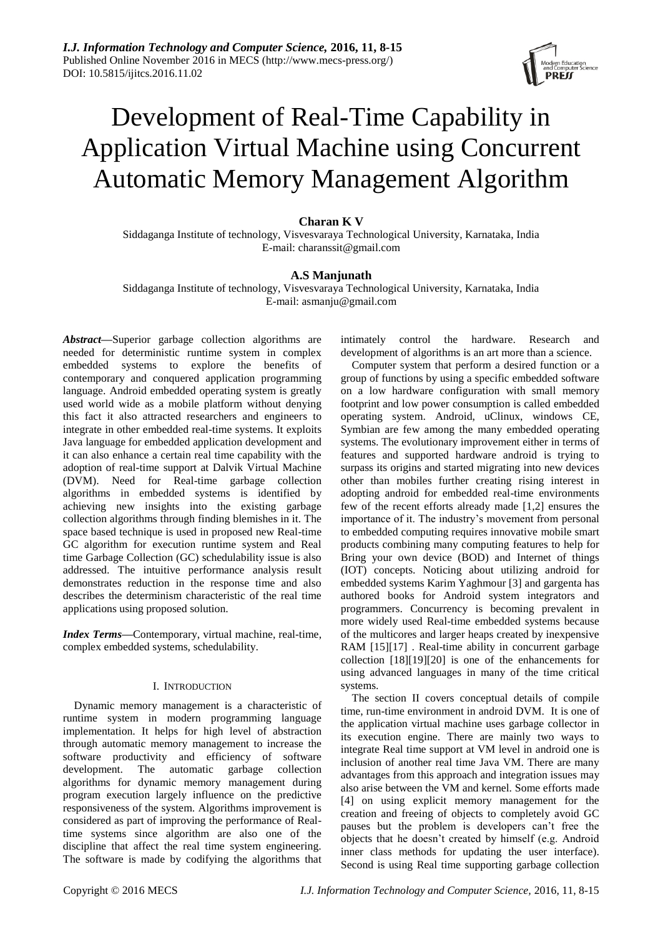

# Development of Real-Time Capability in Application Virtual Machine using Concurrent Automatic Memory Management Algorithm

# **Charan K V**

Siddaganga Institute of technology, Visvesvaraya Technological University, Karnataka, India E-mail: charanssit@gmail.com

# **A.S Manjunath**

Siddaganga Institute of technology, Visvesvaraya Technological University, Karnataka, India E-mail: asmanju@gmail.com

*Abstract***—**Superior garbage collection algorithms are needed for deterministic runtime system in complex embedded systems to explore the benefits of contemporary and conquered application programming language. Android embedded operating system is greatly used world wide as a mobile platform without denying this fact it also attracted researchers and engineers to integrate in other embedded real-time systems. It exploits Java language for embedded application development and it can also enhance a certain real time capability with the adoption of real-time support at Dalvik Virtual Machine (DVM). Need for Real-time garbage collection algorithms in embedded systems is identified by achieving new insights into the existing garbage collection algorithms through finding blemishes in it. The space based technique is used in proposed new Real-time GC algorithm for execution runtime system and Real time Garbage Collection (GC) schedulability issue is also addressed. The intuitive performance analysis result demonstrates reduction in the response time and also describes the determinism characteristic of the real time applications using proposed solution.

*Index Terms***—**Contemporary, virtual machine, real-time, complex embedded systems, schedulability.

# I. INTRODUCTION

Dynamic memory management is a characteristic of runtime system in modern programming language implementation. It helps for high level of abstraction through automatic memory management to increase the software productivity and efficiency of software development. The automatic garbage collection algorithms for dynamic memory management during program execution largely influence on the predictive responsiveness of the system. Algorithms improvement is considered as part of improving the performance of Realtime systems since algorithm are also one of the discipline that affect the real time system engineering. The software is made by codifying the algorithms that intimately control the hardware. Research and development of algorithms is an art more than a science.

Computer system that perform a desired function or a group of functions by using a specific embedded software on a low hardware configuration with small memory footprint and low power consumption is called embedded operating system. Android, uClinux, windows CE, Symbian are few among the many embedded operating systems. The evolutionary improvement either in terms of features and supported hardware android is trying to surpass its origins and started migrating into new devices other than mobiles further creating rising interest in adopting android for embedded real-time environments few of the recent efforts already made [1,2] ensures the importance of it. The industry's movement from personal to embedded computing requires innovative mobile smart products combining many computing features to help for Bring your own device (BOD) and Internet of things (IOT) concepts. Noticing about utilizing android for embedded systems Karim Yaghmour [3] and gargenta has authored books for Android system integrators and programmers. Concurrency is becoming prevalent in more widely used Real-time embedded systems because of the multicores and larger heaps created by inexpensive RAM [15][17] . Real-time ability in concurrent garbage collection [18][19][20] is one of the enhancements for using advanced languages in many of the time critical systems.

The section II covers conceptual details of compile time, run-time environment in android DVM. It is one of the application virtual machine uses garbage collector in its execution engine. There are mainly two ways to integrate Real time support at VM level in android one is inclusion of another real time Java VM. There are many advantages from this approach and integration issues may also arise between the VM and kernel. Some efforts made [4] on using explicit memory management for the creation and freeing of objects to completely avoid GC pauses but the problem is developers can't free the objects that he doesn't created by himself (e.g. Android inner class methods for updating the user interface). Second is using Real time supporting garbage collection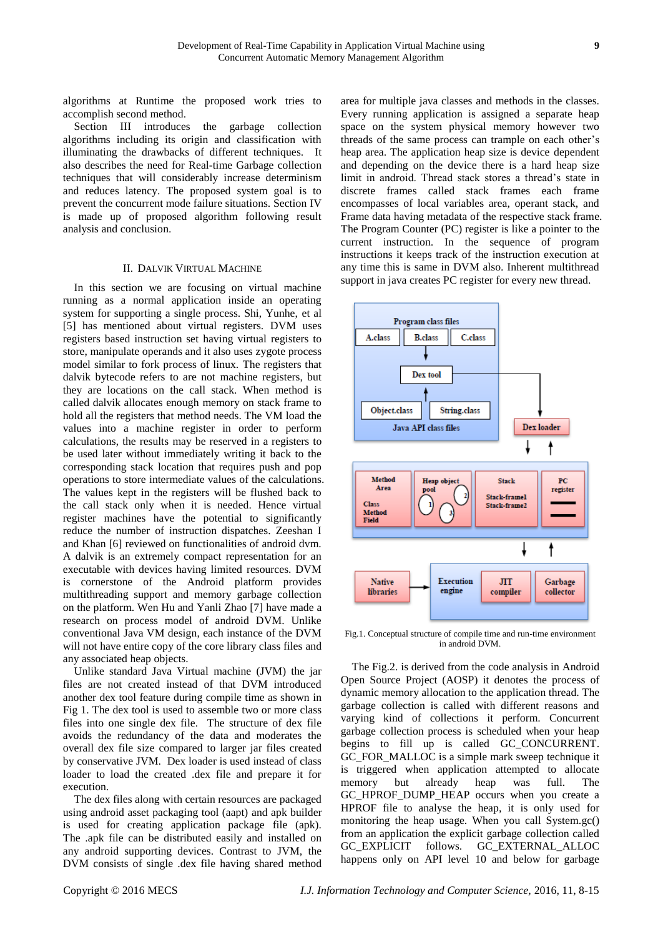algorithms at Runtime the proposed work tries to accomplish second method.

Section III introduces the garbage collection algorithms including its origin and classification with illuminating the drawbacks of different techniques. It also describes the need for Real-time Garbage collection techniques that will considerably increase determinism and reduces latency. The proposed system goal is to prevent the concurrent mode failure situations. Section IV is made up of proposed algorithm following result analysis and conclusion.

## II. DALVIK VIRTUAL MACHINE

In this section we are focusing on virtual machine running as a normal application inside an operating system for supporting a single process. Shi, Yunhe, et al [5] has mentioned about virtual registers. DVM uses registers based instruction set having virtual registers to store, manipulate operands and it also uses zygote process model similar to fork process of linux. The registers that dalvik bytecode refers to are not machine registers, but they are locations on the call stack. When method is called dalvik allocates enough memory on stack frame to hold all the registers that method needs. The VM load the values into a machine register in order to perform calculations, the results may be reserved in a registers to be used later without immediately writing it back to the corresponding stack location that requires push and pop operations to store intermediate values of the calculations. The values kept in the registers will be flushed back to the call stack only when it is needed. Hence virtual register machines have the potential to significantly reduce the number of instruction dispatches. Zeeshan I and Khan [6] reviewed on functionalities of android dvm. A dalvik is an extremely compact representation for an executable with devices having limited resources. DVM is cornerstone of the Android platform provides multithreading support and memory garbage collection on the platform. Wen Hu and Yanli Zhao [7] have made a research on process model of android DVM. Unlike conventional Java VM design, each instance of the DVM will not have entire copy of the core library class files and any associated heap objects.

Unlike standard Java Virtual machine (JVM) the jar files are not created instead of that DVM introduced another dex tool feature during compile time as shown in Fig 1. The dex tool is used to assemble two or more class files into one single dex file. The structure of dex file avoids the redundancy of the data and moderates the overall dex file size compared to larger jar files created by conservative JVM. Dex loader is used instead of class loader to load the created .dex file and prepare it for execution.

The dex files along with certain resources are packaged using android asset packaging tool (aapt) and apk builder is used for creating application package file (apk). The .apk file can be distributed easily and installed on any android supporting devices. Contrast to JVM, the DVM consists of single .dex file having shared method

area for multiple java classes and methods in the classes. Every running application is assigned a separate heap space on the system physical memory however two threads of the same process can trample on each other's heap area. The application heap size is device dependent and depending on the device there is a hard heap size limit in android. Thread stack stores a thread's state in discrete frames called stack frames each frame encompasses of local variables area, operant stack, and Frame data having metadata of the respective stack frame. The Program Counter (PC) register is like a pointer to the current instruction. In the sequence of program instructions it keeps track of the instruction execution at any time this is same in DVM also. Inherent multithread support in java creates PC register for every new thread.



Fig.1. Conceptual structure of compile time and run-time environment in android DVM.

The Fig.2. is derived from the code analysis in Android Open Source Project (AOSP) it denotes the process of dynamic memory allocation to the application thread. The garbage collection is called with different reasons and varying kind of collections it perform. Concurrent garbage collection process is scheduled when your heap begins to fill up is called GC\_CONCURRENT. GC\_FOR\_MALLOC is a simple mark sweep technique it is triggered when application attempted to allocate memory but already heap was full. The GC\_HPROF\_DUMP\_HEAP occurs when you create a HPROF file to analyse the heap, it is only used for monitoring the heap usage. When you call System.gc() from an application the explicit garbage collection called GC\_EXPLICIT follows. GC\_EXTERNAL\_ALLOC happens only on API level 10 and below for garbage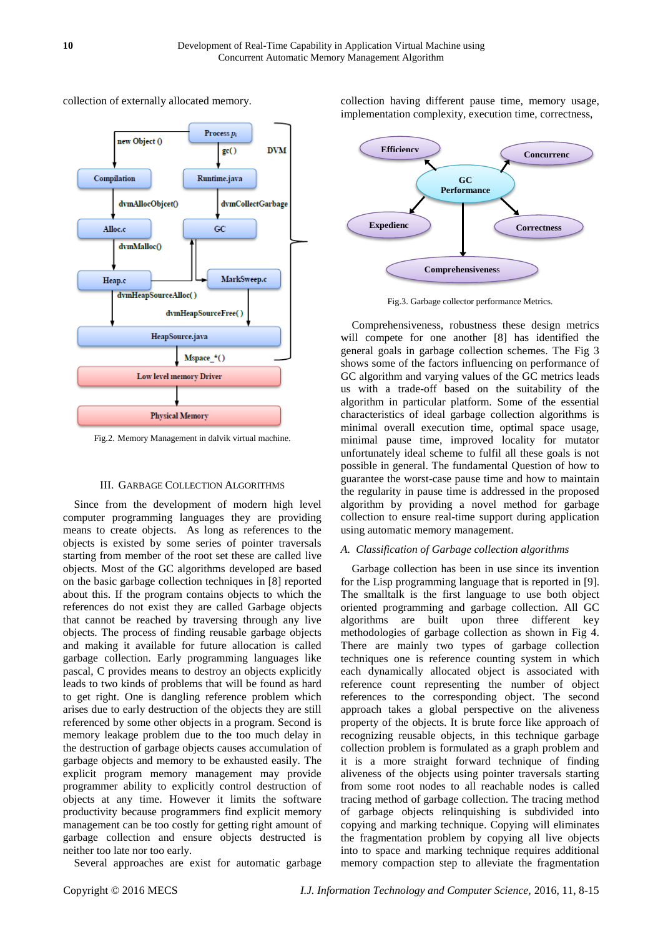

collection of externally allocated memory.

Fig.2. Memory Management in dalvik virtual machine.

## III. GARBAGE COLLECTION ALGORITHMS

Since from the development of modern high level computer programming languages they are providing means to create objects. As long as references to the objects is existed by some series of pointer traversals starting from member of the root set these are called live objects. Most of the GC algorithms developed are based on the basic garbage collection techniques in [8] reported about this. If the program contains objects to which the references do not exist they are called Garbage objects that cannot be reached by traversing through any live objects. The process of finding reusable garbage objects and making it available for future allocation is called garbage collection. Early programming languages like pascal, C provides means to destroy an objects explicitly leads to two kinds of problems that will be found as hard to get right. One is dangling reference problem which arises due to early destruction of the objects they are still referenced by some other objects in a program. Second is memory leakage problem due to the too much delay in the destruction of garbage objects causes accumulation of garbage objects and memory to be exhausted easily. The explicit program memory management may provide programmer ability to explicitly control destruction of objects at any time. However it limits the software productivity because programmers find explicit memory management can be too costly for getting right amount of garbage collection and ensure objects destructed is neither too late nor too early.

Several approaches are exist for automatic garbage

collection having different pause time, memory usage, implementation complexity, execution time, correctness,



Fig.3. Garbage collector performance Metrics.

Comprehensiveness, robustness these design metrics will compete for one another [8] has identified the general goals in garbage collection schemes. The Fig 3 shows some of the factors influencing on performance of GC algorithm and varying values of the GC metrics leads us with a trade-off based on the suitability of the algorithm in particular platform. Some of the essential characteristics of ideal garbage collection algorithms is minimal overall execution time, optimal space usage, minimal pause time, improved locality for mutator unfortunately ideal scheme to fulfil all these goals is not possible in general. The fundamental Question of how to guarantee the worst-case pause time and how to maintain the regularity in pause time is addressed in the proposed algorithm by providing a novel method for garbage collection to ensure real-time support during application using automatic memory management.

#### *A. Classification of Garbage collection algorithms*

Garbage collection has been in use since its invention for the Lisp programming language that is reported in [9]. The smalltalk is the first language to use both object oriented programming and garbage collection. All GC algorithms are built upon three different key methodologies of garbage collection as shown in Fig 4. There are mainly two types of garbage collection techniques one is reference counting system in which each dynamically allocated object is associated with reference count representing the number of object references to the corresponding object. The second approach takes a global perspective on the aliveness property of the objects. It is brute force like approach of recognizing reusable objects, in this technique garbage collection problem is formulated as a graph problem and it is a more straight forward technique of finding aliveness of the objects using pointer traversals starting from some root nodes to all reachable nodes is called tracing method of garbage collection. The tracing method of garbage objects relinquishing is subdivided into copying and marking technique. Copying will eliminates the fragmentation problem by copying all live objects into to space and marking technique requires additional memory compaction step to alleviate the fragmentation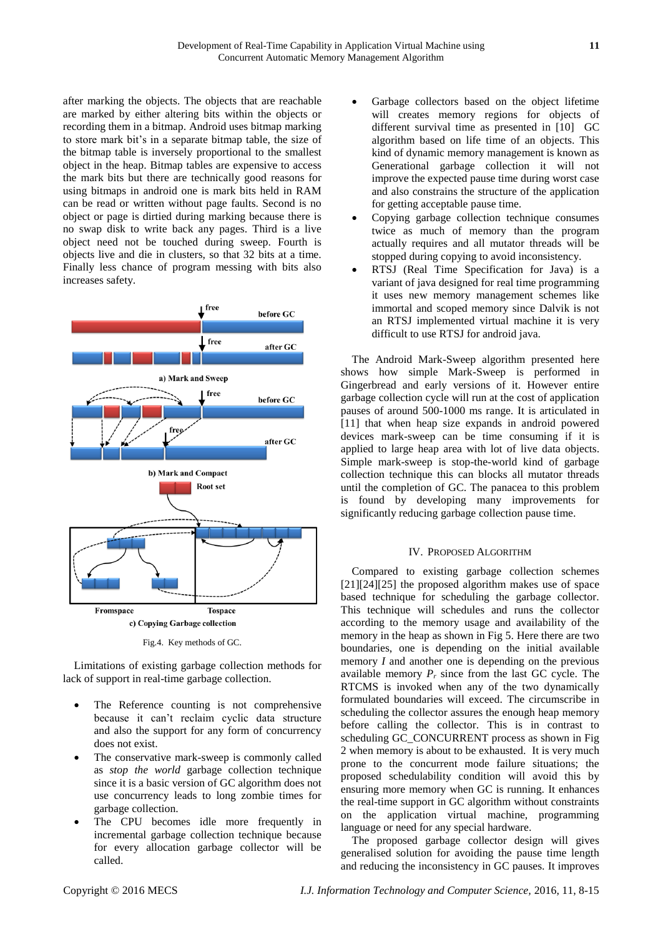after marking the objects. The objects that are reachable are marked by either altering bits within the objects or recording them in a bitmap. Android uses bitmap marking to store mark bit's in a separate bitmap table, the size of the bitmap table is inversely proportional to the smallest object in the heap. Bitmap tables are expensive to access the mark bits but there are technically good reasons for using bitmaps in android one is mark bits held in RAM can be read or written without page faults. Second is no object or page is dirtied during marking because there is no swap disk to write back any pages. Third is a live object need not be touched during sweep. Fourth is objects live and die in clusters, so that 32 bits at a time. Finally less chance of program messing with bits also increases safety.



Fig.4. Key methods of GC.

Limitations of existing garbage collection methods for lack of support in real-time garbage collection.

- The Reference counting is not comprehensive because it can't reclaim cyclic data structure and also the support for any form of concurrency does not exist.
- The conservative mark-sweep is commonly called as *stop the world* garbage collection technique since it is a basic version of GC algorithm does not use concurrency leads to long zombie times for garbage collection.
- The CPU becomes idle more frequently in incremental garbage collection technique because for every allocation garbage collector will be called.
- Garbage collectors based on the object lifetime will creates memory regions for objects of different survival time as presented in [10] GC algorithm based on life time of an objects. This kind of dynamic memory management is known as Generational garbage collection it will not improve the expected pause time during worst case and also constrains the structure of the application for getting acceptable pause time.
- Copying garbage collection technique consumes twice as much of memory than the program actually requires and all mutator threads will be stopped during copying to avoid inconsistency.
- RTSJ (Real Time Specification for Java) is a variant of java designed for real time programming it uses new memory management schemes like immortal and scoped memory since Dalvik is not an RTSJ implemented virtual machine it is very difficult to use RTSJ for android java.

The Android Mark-Sweep algorithm presented here shows how simple Mark-Sweep is performed in Gingerbread and early versions of it. However entire garbage collection cycle will run at the cost of application pauses of around 500-1000 ms range. It is articulated in [11] that when heap size expands in android powered devices mark-sweep can be time consuming if it is applied to large heap area with lot of live data objects. Simple mark-sweep is stop-the-world kind of garbage collection technique this can blocks all mutator threads until the completion of GC. The panacea to this problem is found by developing many improvements for significantly reducing garbage collection pause time.

# IV. PROPOSED ALGORITHM

Compared to existing garbage collection schemes [21][24][25] the proposed algorithm makes use of space based technique for scheduling the garbage collector. This technique will schedules and runs the collector according to the memory usage and availability of the memory in the heap as shown in Fig 5. Here there are two boundaries, one is depending on the initial available memory *I* and another one is depending on the previous available memory  $P_r$  since from the last GC cycle. The RTCMS is invoked when any of the two dynamically formulated boundaries will exceed. The circumscribe in scheduling the collector assures the enough heap memory before calling the collector. This is in contrast to scheduling GC\_CONCURRENT process as shown in Fig 2 when memory is about to be exhausted. It is very much prone to the concurrent mode failure situations; the proposed schedulability condition will avoid this by ensuring more memory when GC is running. It enhances the real-time support in GC algorithm without constraints on the application virtual machine, programming language or need for any special hardware.

The proposed garbage collector design will gives generalised solution for avoiding the pause time length and reducing the inconsistency in GC pauses. It improves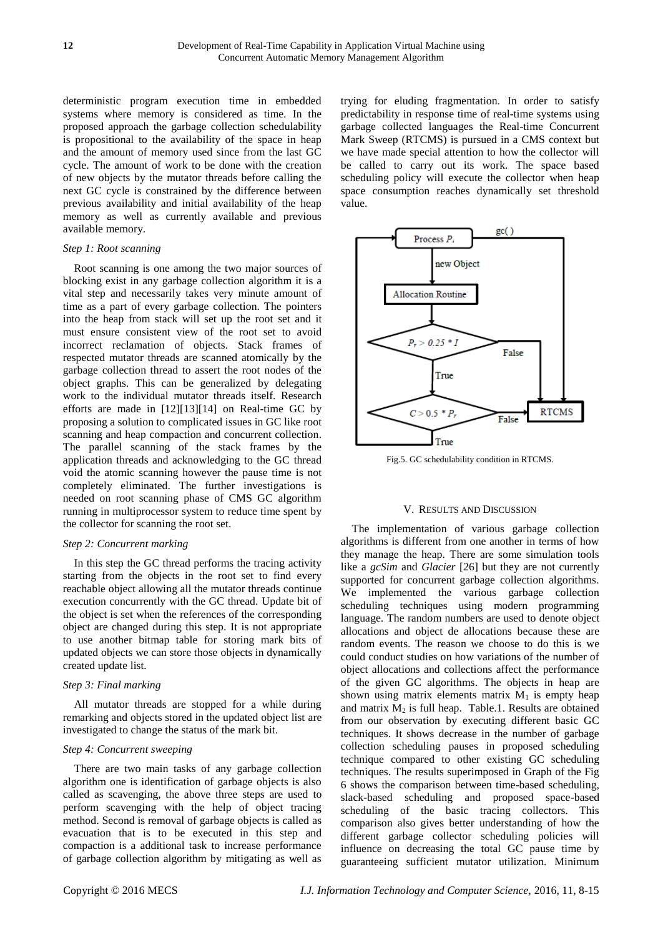deterministic program execution time in embedded systems where memory is considered as time. In the proposed approach the garbage collection schedulability is propositional to the availability of the space in heap and the amount of memory used since from the last GC cycle. The amount of work to be done with the creation of new objects by the mutator threads before calling the next GC cycle is constrained by the difference between previous availability and initial availability of the heap memory as well as currently available and previous available memory.

#### *Step 1: Root scanning*

Root scanning is one among the two major sources of blocking exist in any garbage collection algorithm it is a vital step and necessarily takes very minute amount of time as a part of every garbage collection. The pointers into the heap from stack will set up the root set and it must ensure consistent view of the root set to avoid incorrect reclamation of objects. Stack frames of respected mutator threads are scanned atomically by the garbage collection thread to assert the root nodes of the object graphs. This can be generalized by delegating work to the individual mutator threads itself. Research efforts are made in [12][13][14] on Real-time GC by proposing a solution to complicated issues in GC like root scanning and heap compaction and concurrent collection. The parallel scanning of the stack frames by the application threads and acknowledging to the GC thread void the atomic scanning however the pause time is not completely eliminated. The further investigations is needed on root scanning phase of CMS GC algorithm running in multiprocessor system to reduce time spent by the collector for scanning the root set.

# *Step 2: Concurrent marking*

In this step the GC thread performs the tracing activity starting from the objects in the root set to find every reachable object allowing all the mutator threads continue execution concurrently with the GC thread. Update bit of the object is set when the references of the corresponding object are changed during this step. It is not appropriate to use another bitmap table for storing mark bits of updated objects we can store those objects in dynamically created update list.

#### *Step 3: Final marking*

All mutator threads are stopped for a while during remarking and objects stored in the updated object list are investigated to change the status of the mark bit.

# *Step 4: Concurrent sweeping*

There are two main tasks of any garbage collection algorithm one is identification of garbage objects is also called as scavenging, the above three steps are used to perform scavenging with the help of object tracing method. Second is removal of garbage objects is called as evacuation that is to be executed in this step and compaction is a additional task to increase performance of garbage collection algorithm by mitigating as well as trying for eluding fragmentation. In order to satisfy predictability in response time of real-time systems using garbage collected languages the Real-time Concurrent Mark Sweep (RTCMS) is pursued in a CMS context but we have made special attention to how the collector will be called to carry out its work. The space based scheduling policy will execute the collector when heap space consumption reaches dynamically set threshold value.



Fig.5. GC schedulability condition in RTCMS.

#### V. RESULTS AND DISCUSSION

The implementation of various garbage collection algorithms is different from one another in terms of how they manage the heap. There are some simulation tools like a *gcSim* and *Glacier* [26] but they are not currently supported for concurrent garbage collection algorithms. We implemented the various garbage collection scheduling techniques using modern programming language. The random numbers are used to denote object allocations and object de allocations because these are random events. The reason we choose to do this is we could conduct studies on how variations of the number of object allocations and collections affect the performance of the given GC algorithms. The objects in heap are shown using matrix elements matrix  $M_1$  is empty heap and matrix  $M_2$  is full heap. Table.1. Results are obtained from our observation by executing different basic GC techniques. It shows decrease in the number of garbage collection scheduling pauses in proposed scheduling technique compared to other existing GC scheduling techniques. The results superimposed in Graph of the Fig 6 shows the comparison between time-based scheduling, slack-based scheduling and proposed space-based scheduling of the basic tracing collectors. This comparison also gives better understanding of how the different garbage collector scheduling policies will influence on decreasing the total GC pause time by guaranteeing sufficient mutator utilization. Minimum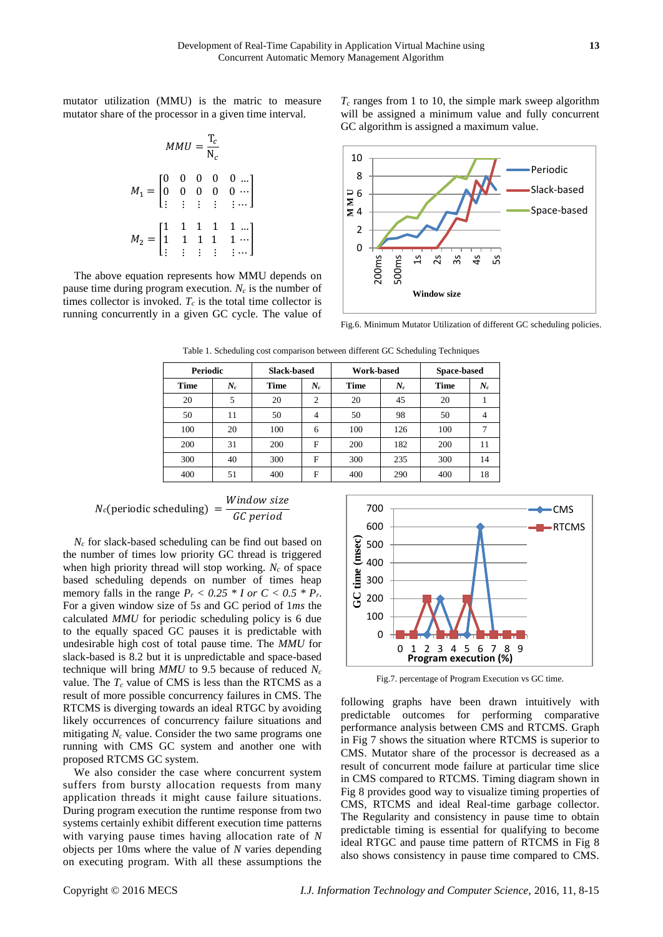mutator utilization (MMU) is the matric to measure mutator share of the processor in a given time interval.

$$
MMU = \frac{T_c}{N_c}
$$
  
\n
$$
M_1 = \begin{bmatrix} 0 & 0 & 0 & 0 & 0 & \dots \\ 0 & 0 & 0 & 0 & 0 & \dots \\ \vdots & \vdots & \vdots & \vdots & \vdots & \vdots \\ 1 & 1 & 1 & 1 & 1 & \dots \\ \vdots & \vdots & \vdots & \vdots & \vdots & \vdots \end{bmatrix}
$$

The above equation represents how MMU depends on pause time during program execution. *N<sup>c</sup>* is the number of times collector is invoked.  $T_c$  is the total time collector is running concurrently in a given GC cycle. The value of *T<sup>c</sup>* ranges from 1 to 10, the simple mark sweep algorithm will be assigned a minimum value and fully concurrent GC algorithm is assigned a maximum value.



Fig.6. Minimum Mutator Utilization of different GC scheduling policies.

| <b>Periodic</b> |       | <b>Slack-based</b> |                | <b>Work-based</b> |       | Space-based |       |
|-----------------|-------|--------------------|----------------|-------------------|-------|-------------|-------|
| <b>Time</b>     | $N_c$ | <b>Time</b>        | $N_c$          | <b>Time</b>       | $N_c$ | <b>Time</b> | $N_c$ |
| 20              | 5     | 20                 | $\overline{2}$ | 20                | 45    | 20          |       |
| 50              | 11    | 50                 | 4              | 50                | 98    | 50          |       |
| 100             | 20    | 100                | 6              | 100               | 126   | 100         |       |
| 200             | 31    | 200                | F              | 200               | 182   | 200         | 11    |
| 300             | 40    | 300                | F              | 300               | 235   | 300         | 14    |
| 400             | 51    | 400                | F              | 400               | 290   | 400         | 18    |

Table 1. Scheduling cost comparison between different GC Scheduling Techniques

$$
N_c(\text{periodic scheduling}) = \frac{Window size}{GC period}
$$

*N<sup>c</sup>* for slack-based scheduling can be find out based on the number of times low priority GC thread is triggered when high priority thread will stop working. *N<sup>c</sup>* of space based scheduling depends on number of times heap memory falls in the range  $P_r < 0.25 * I$  or  $C < 0.5 * P_r$ . For a given window size of 5*s* and GC period of 1*ms* the calculated *MMU* for periodic scheduling policy is 6 due to the equally spaced GC pauses it is predictable with undesirable high cost of total pause time. The *MMU* for slack-based is 8.2 but it is unpredictable and space-based technique will bring *MMU* to 9.5 because of reduced *N<sup>c</sup>* value. The  $T_c$  value of CMS is less than the RTCMS as a result of more possible concurrency failures in CMS. The RTCMS is diverging towards an ideal RTGC by avoiding likely occurrences of concurrency failure situations and mitigating  $N_c$  value. Consider the two same programs one running with CMS GC system and another one with proposed RTCMS GC system.

We also consider the case where concurrent system suffers from bursty allocation requests from many application threads it might cause failure situations. During program execution the runtime response from two systems certainly exhibit different execution time patterns with varying pause times having allocation rate of *N*  objects per 10ms where the value of *N* varies depending on executing program. With all these assumptions the



Fig.7. percentage of Program Execution vs GC time.

following graphs have been drawn intuitively with predictable outcomes for performing comparative performance analysis between CMS and RTCMS. Graph in Fig 7 shows the situation where RTCMS is superior to CMS. Mutator share of the processor is decreased as a result of concurrent mode failure at particular time slice in CMS compared to RTCMS. Timing diagram shown in Fig 8 provides good way to visualize timing properties of CMS, RTCMS and ideal Real-time garbage collector. The Regularity and consistency in pause time to obtain predictable timing is essential for qualifying to become ideal RTGC and pause time pattern of RTCMS in Fig 8 also shows consistency in pause time compared to CMS.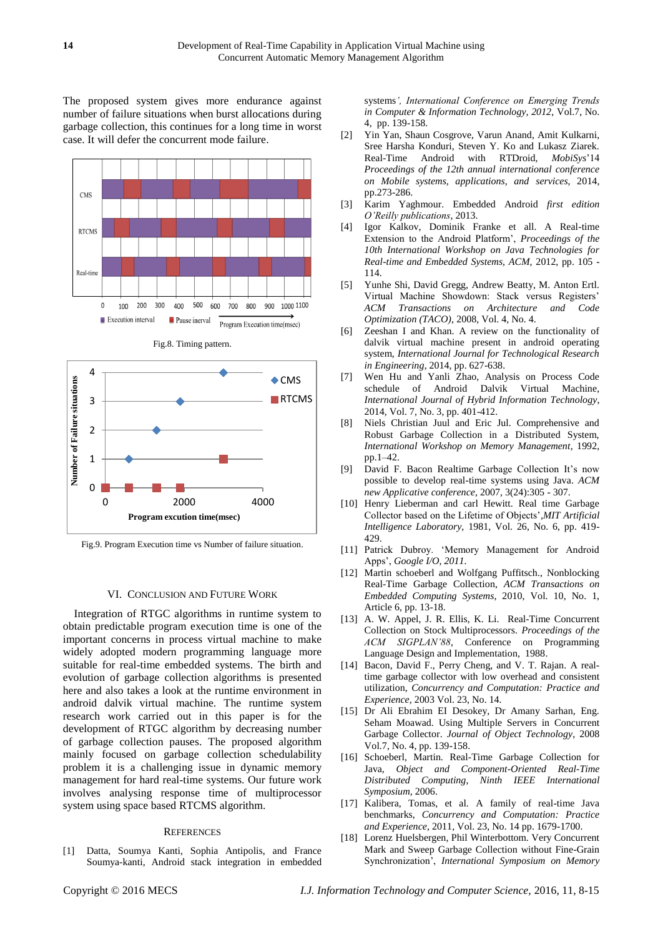The proposed system gives more endurance against number of failure situations when burst allocations during garbage collection, this continues for a long time in worst case. It will defer the concurrent mode failure.



Fig.8. Timing pattern.



Fig.9. Program Execution time vs Number of failure situation.

#### VI. CONCLUSION AND FUTURE WORK

Integration of RTGC algorithms in runtime system to obtain predictable program execution time is one of the important concerns in process virtual machine to make widely adopted modern programming language more suitable for real-time embedded systems. The birth and evolution of garbage collection algorithms is presented here and also takes a look at the runtime environment in android dalvik virtual machine. The runtime system research work carried out in this paper is for the development of RTGC algorithm by decreasing number of garbage collection pauses. The proposed algorithm mainly focused on garbage collection schedulability problem it is a challenging issue in dynamic memory management for hard real-time systems. Our future work involves analysing response time of multiprocessor system using space based RTCMS algorithm.

## **REFERENCES**

[1] Datta, Soumya Kanti, Sophia Antipolis, and France Soumya-kanti*,* Android stack integration in embedded

systems*', International Conference on Emerging Trends in Computer & Information Technology, 2012,* Vol.7, No. 4, pp. 139-158.

- [2] Yin Yan, Shaun Cosgrove, Varun Anand, Amit Kulkarni, Sree Harsha Konduri, Steven Y. Ko and Lukasz Ziarek. Real-Time Android with RTDroid, *MobiSys*'14 *Proceedings of the 12th annual international conference on Mobile systems, applications, and services*, 2014, pp.273-286.
- [3] Karim Yaghmour. Embedded Android *first edition O'Reilly publications*, 2013.
- [4] Igor Kalkov, Dominik Franke et all. A Real-time Extension to the Android Platform', *Proceedings of the 10th International Workshop on Java Technologies for Real-time and Embedded Systems, ACM,* 2012, pp. 105 - 114.
- [5] Yunhe Shi, David Gregg, Andrew Beatty, M. Anton Ertl. Virtual Machine Showdown: Stack versus Registers' *ACM Transactions on Architecture and Code Optimization (TACO)*, 2008, Vol. 4, No. 4.
- [6] Zeeshan I and Khan. A review on the functionality of dalvik virtual machine present in android operating system, *International Journal for Technological Research in Engineering*, 2014, pp. 627-638.
- [7] Wen Hu and Yanli Zhao, Analysis on Process Code schedule of Android Dalvik Virtual Machine, *International Journal of Hybrid Information Technology*, 2014, Vol. 7, No. 3, pp. 401-412.
- [8] Niels Christian Juul and Eric Jul. Comprehensive and Robust Garbage Collection in a Distributed System, *International Workshop on Memory Management*, 1992, pp.1–42.
- [9] David F. Bacon Realtime Garbage Collection It's now possible to develop real-time systems using Java. *ACM new Applicative conference*, 2007, 3(24):305 - 307.
- [10] Henry Lieberman and carl Hewitt. Real time Garbage Collector based on the Lifetime of Objects'*,MIT Artificial Intelligence Laboratory*, 1981, Vol. 26, No. 6, pp. 419- 429.
- [11] Patrick Dubroy. 'Memory Management for Android Apps', *Google I/O, 2011.*
- [12] Martin schoeberl and Wolfgang Puffitsch., Nonblocking Real-Time Garbage Collection, *ACM Transactions on Embedded Computing Systems*, 2010, Vol. 10, No. 1, Article 6, pp. 13-18.
- [13] A. W. Appel, J. R. Ellis, K. Li. Real-Time Concurrent Collection on Stock Multiprocessors. *Proceedings of the ACM SIGPLAN'88*, Conference on Programming Language Design and Implementation, 1988.
- [14] Bacon, David F., Perry Cheng, and V. T. Rajan. A realtime garbage collector with low overhead and consistent utilization, *Concurrency and Computation: Practice and Experience*, 2003 Vol. 23, No. 14.
- [15] Dr Ali Ebrahim EI Desokey, Dr Amany Sarhan, Eng. Seham Moawad. Using Multiple Servers in Concurrent Garbage Collector. *Journal of Object Technology*, 2008 Vol.7, No. 4, pp. 139-158.
- [16] Schoeberl, Martin. Real-Time Garbage Collection for Java, *Object and Component-Oriented Real-Time Distributed Computing*, *Ninth IEEE International Symposium*, 2006.
- [17] Kalibera, Tomas, et al. A family of real-time Java benchmarks, *Concurrency and Computation: Practice and Experience,* 2011*,* Vol. 23, No. 14 pp. 1679-1700.
- [18] Lorenz Huelsbergen, Phil Winterbottom. Very Concurrent Mark and Sweep Garbage Collection without Fine-Grain Synchronization', *International Symposium on Memory*